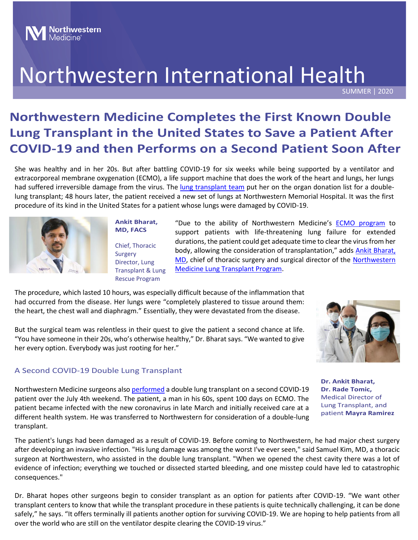# Northwestern International Health

SUMMER | 2020

## **Northwestern Medicine Completes the First Known Double Lung Transplant in the United States to Save a Patient After COVID-19 and then Performs on a Second Patient Soon After**

She was healthy and in her 20s. But after battling COVID-19 for six weeks while being supported by a ventilator and extracorporeal membrane oxygenation (ECMO), a life support machine that does the work of the heart and lungs, her lungs had suffered irreversible damage from the virus. The [lung transplant team](https://www.nm.org/conditions-and-care-areas/organ-transplantation/lung-transplantation) put her on the organ donation list for a doublelung transplant; 48 hours later, the patient received a new set of lungs at Northwestern Memorial Hospital. It was the first procedure of its kind in the United States for a patient whose lungs were damaged by COVID-19.



**Ankit Bharat, MD, FACS** Chief, Thoracic Surgery Director, Lung Transplant & Lung Rescue Program

"Due to the ability of Northwestern Medicine's **ECMO** program to support patients with life-threatening lung failure for extended durations, the patient could get adequate time to clear the virus from her body, allowing the consideration of transplantation," adds **Ankit Bharat**, [MD,](https://www.nm.org/doctors/1003852419/ankit-bharat-md) chief of thoracic surgery and surgical director of the [Northwestern](https://www.nm.org/conditions-and-care-areas/organ-transplantation/lung-transplantation)  [Medicine Lung Transplant Program.](https://www.nm.org/conditions-and-care-areas/organ-transplantation/lung-transplantation)

The procedure, which lasted 10 hours, was especially difficult because of the inflammation that had occurred from the disease. Her lungs were "completely plastered to tissue around them: the heart, the chest wall and diaphragm." Essentially, they were devastated from the disease.

But the surgical team was relentless in their quest to give the patient a second chance at life. "You have someone in their 20s, who's otherwise healthy," Dr. Bharat says. "We wanted to give her every option. Everybody was just rooting for her."

#### A Second COVID-19 Double Lung Transplant



Northwestern Medicine surgeons also [performed](https://www.nm.org/about-us/northwestern-medicine-newsroom/press-releases/2020/northwestern-medicine-performs-double-lung-transplant-on-a-second-COVID-19-patient) a double lung transplant on a second COVID-19 patient over the July 4th weekend. The patient, a man in his 60s, spent 100 days on ECMO. The patient became infected with the new coronavirus in late March and initially received care at a different health system. He was transferred to Northwestern for consideration of a double-lung transplant.

**Dr. Ankit Bharat, Dr. Rade Tomic,**  Medical Director of Lung Transplant, and patient **Mayra Ramirez**

The patient's lungs had been damaged as a result of COVID-19. Before coming to Northwestern, he had major chest surgery after developing an invasive infection. "His lung damage was among the worst I've ever seen," said Samuel Kim, MD, a thoracic surgeon at Northwestern, who assisted in the double lung transplant. "When we opened the chest cavity there was a lot of evidence of infection; everything we touched or dissected started bleeding, and one misstep could have led to catastrophic consequences."

transplant centers to know that while the transplant procedure in these patients is quite technically challenging, it can be done Dr. Bharat hopes other surgeons begin to consider transplant as an option for patients after COVID-19. "We want other safely," he says. "It offers terminally ill patients another option for surviving COVID-19. We are hoping to help patients from all over the world who are still on the ventilator despite clearing the COVID-19 virus."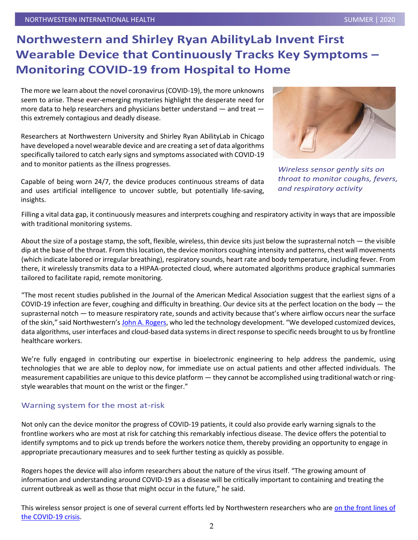### **Northwestern and Shirley Ryan AbilityLab Invent First Wearable Device that Continuously Tracks Key Symptoms – Monitoring COVID-19 from Hospital to Home**

The more we learn about the novel coronavirus (COVID-19), the more unknowns seem to arise. These ever-emerging mysteries highlight the desperate need for more data to help researchers and physicians better understand — and treat this extremely contagious and deadly disease.

Researchers at Northwestern University and Shirley Ryan AbilityLab in Chicago have developed a novel wearable device and are creating a set of data algorithms specifically tailored to catch early signs and symptoms associated with COVID-19 and to monitor patients as the illness progresses.

Capable of being worn 24/7, the device produces continuous streams of data and uses artificial intelligence to uncover subtle, but potentially life-saving, insights.



*Wireless sensor gently sits on throat to monitor coughs, fevers, and respiratory activity*

Filling a vital data gap, it continuously measures and interprets coughing and respiratory activity in ways that are impossible with traditional monitoring systems.

About the size of a postage stamp, the soft, flexible, wireless, thin device sits just below the suprasternal notch  $-$  the visible dip at the base of the throat. From this location, the device monitors coughing intensity and patterns, chest wall movements (which indicate labored or irregular breathing), respiratory sounds, heart rate and body temperature, including fever. From there, it wirelessly transmits data to a HIPAA-protected cloud, where automated algorithms produce graphical summaries tailored to facilitate rapid, remote monitoring.

"The most recent studies published in the Journal of the American Medical Association suggest that the earliest signs of a COVID-19 infection are fever, coughing and difficulty in breathing. Our device sits at the perfect location on the body  $-$  the suprasternal notch — to measure respiratory rate, sounds and activity because that's where airflow occurs near the surface of the skin," said Northwestern's [John A. Rogers,](http://news.northwestern.edu/for-journalists/faculty-experts/expert/john-rogers) who led the technology development. "We developed customized devices, data algorithms, user interfaces and cloud-based data systems in direct response to specific needs brought to us by frontline healthcare workers.

We're fully engaged in contributing our expertise in bioelectronic engineering to help address the pandemic, using technologies that we are able to deploy now, for immediate use on actual patients and other affected individuals. The measurement capabilities are unique to this device platform — they cannot be accomplished using traditional watch or ringstyle wearables that mount on the wrist or the finger."

#### Warning system for the most at-risk

Not only can the device monitor the progress of COVID-19 patients, it could also provide early warning signals to the frontline workers who are most at risk for catching this remarkably infectious disease. The device offers the potential to identify symptoms and to pick up trends before the workers notice them, thereby providing an opportunity to engage in appropriate precautionary measures and to seek further testing as quickly as possible.

Rogers hopes the device will also inform researchers about the nature of the virus itself. "The growing amount of information and understanding around COVID-19 as a disease will be critically important to containing and treating the current outbreak as well as those that might occur in the future," he said.

This wireless sensor project is one of several current efforts led by Northwestern researchers who are on the front lines of [the COVID-19 crisis.](https://news.northwestern.edu/coronavirus/research-recovery/)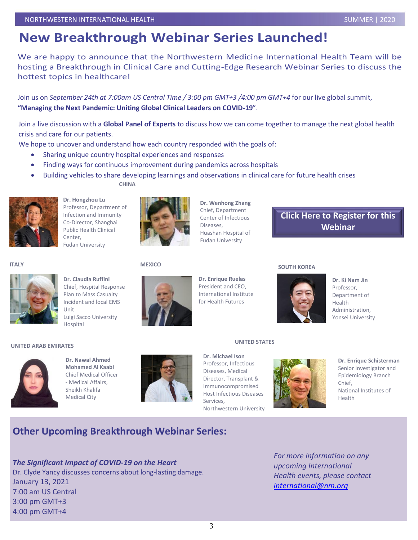### **New Breakthrough Webinar Series Launched!**

We are happy to announce that the Northwestern Medicine International Health Team will be hosting a Breakthrough in Clinical Care and Cutting-Edge Research Webinar Series to discuss the hottest topics in healthcare!

Join us on *September 24th at 7:00am US Central Time / 3:00 pm GMT+3 /4:00 pm GMT+4* for our live global summit, **"Managing the Next Pandemic: Uniting Global Clinical Leaders on COVID-19**".

Join a live discussion with a **Global Panel of Experts** to discuss how we can come together to manage the next global health crisis and care for our patients.

We hope to uncover and understand how each country responded with the goals of:

- Sharing unique country hospital experiences and responses
- Finding ways for continuous improvement during pandemics across hospitals
- Building vehicles to share developing learnings and observations in clinical care for future health crises

**CHINA**



**Dr. Hongzhou Lu** Professor, Department of Infection and Immunity Co-Director, Shanghai Public Health Clinical Center, Fudan University



**Dr. Wenhong Zhang** Chief, Department Center of Infectious Diseases, Huashan Hospital of Fudan University

[Click Here to Register](https://northwestern.zoom.us/webinar/register/2015955398684/WN_OE8x88n0Ro2FvpQVfDs7Kg) for this Webinar

**ITALY**



**Dr. Claudia Ruffini** Chief, Hospital Response Plan to Mass Casualty Incident and local EMS Unit Luigi Sacco University Hospital

#### **MEXICO**



#### **Dr. Enrique Ruelas** President and CEO, International Institute for Health Futures

#### **SOUTH KOREA**



**Dr. Ki Nam Jin** Professor, Department of Health Administration, Yonsei University

#### **UNITED ARAB EMIRATES**



**Dr. Nawal Ahmed Mohamed Al Kaabi** Chief Medical Officer - Medical Affairs, Sheikh Khalifa Medical City



**Dr. Michael Ison** Professor, Infectious Diseases, Medical Director, Transplant & Immunocompromised Host Infectious Diseases Services, Northwestern University

**UNITED STATES**



**Dr. Enrique Schisterman** Senior Investigator and Epidemiology Branch Chief, National Institutes of Health

### **Other Upcoming Breakthrough Webinar Series:**

#### *The Significant Impact of COVID-19 on the Heart*

Dr. Clyde Yancy discusses concerns about long-lasting damage. January 13, 2021 7:00 am US Central 3:00 pm GMT+3 4:00 pm GMT+4

*For more information on any upcoming International Health events, please contact [international@nm.org](mailto:international@nm.org)*